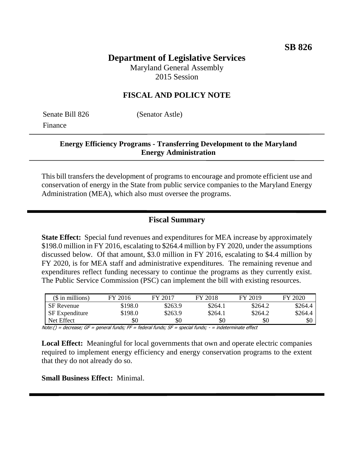# **Department of Legislative Services**

Maryland General Assembly 2015 Session

## **FISCAL AND POLICY NOTE**

Senate Bill 826 (Senator Astle) Finance

## **Energy Efficiency Programs - Transferring Development to the Maryland Energy Administration**

This bill transfers the development of programs to encourage and promote efficient use and conservation of energy in the State from public service companies to the Maryland Energy Administration (MEA), which also must oversee the programs.

## **Fiscal Summary**

**State Effect:** Special fund revenues and expenditures for MEA increase by approximately \$198.0 million in FY 2016, escalating to \$264.4 million by FY 2020, under the assumptions discussed below. Of that amount, \$3.0 million in FY 2016, escalating to \$4.4 million by FY 2020, is for MEA staff and administrative expenditures. The remaining revenue and expenditures reflect funding necessary to continue the programs as they currently exist. The Public Service Commission (PSC) can implement the bill with existing resources.

| $($$ in millions)     | FY 2016 | FY 2017 | FY 2018 | FY 2019 | FY 2020 |
|-----------------------|---------|---------|---------|---------|---------|
| <b>SF</b> Revenue     | \$198.0 | \$263.9 | \$264.1 | \$264.2 | \$264.4 |
| <b>SF</b> Expenditure | \$198.0 | \$263.9 | \$264.1 | \$264.2 | \$264.4 |
| Net Effect            | \$0     | \$0     | \$0     | \$0     | \$0     |

Note:() = decrease; GF = general funds; FF = federal funds; SF = special funds; - = indeterminate effect

**Local Effect:** Meaningful for local governments that own and operate electric companies required to implement energy efficiency and energy conservation programs to the extent that they do not already do so.

**Small Business Effect:** Minimal.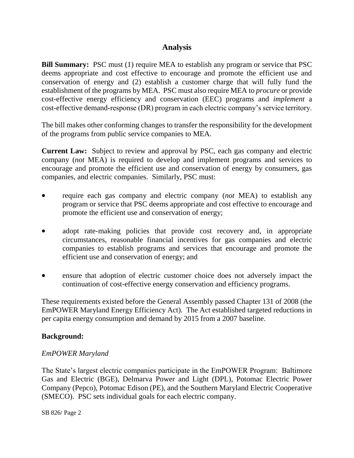# **Analysis**

**Bill Summary:** PSC must (1) require MEA to establish any program or service that PSC deems appropriate and cost effective to encourage and promote the efficient use and conservation of energy and (2) establish a customer charge that will fully fund the establishment of the programs by MEA. PSC must also require MEA to *procure* or provide cost-effective energy efficiency and conservation (EEC) programs and *implement* a cost-effective demand-response (DR) program in each electric company's service territory.

The bill makes other conforming changes to transfer the responsibility for the development of the programs from public service companies to MEA.

**Current Law:** Subject to review and approval by PSC, each gas company and electric company (*not* MEA) is required to develop and implement programs and services to encourage and promote the efficient use and conservation of energy by consumers, gas companies, and electric companies. Similarly, PSC must:

- require each gas company and electric company (*not* MEA) to establish any program or service that PSC deems appropriate and cost effective to encourage and promote the efficient use and conservation of energy;
- adopt rate-making policies that provide cost recovery and, in appropriate circumstances, reasonable financial incentives for gas companies and electric companies to establish programs and services that encourage and promote the efficient use and conservation of energy; and
- ensure that adoption of electric customer choice does not adversely impact the continuation of cost-effective energy conservation and efficiency programs.

These requirements existed before the General Assembly passed Chapter 131 of 2008 (the EmPOWER Maryland Energy Efficiency Act). The Act established targeted reductions in per capita energy consumption and demand by 2015 from a 2007 baseline.

#### **Background:**

#### *EmPOWER Maryland*

The State's largest electric companies participate in the EmPOWER Program: Baltimore Gas and Electric (BGE), Delmarva Power and Light (DPL), Potomac Electric Power Company (Pepco), Potomac Edison (PE), and the Southern Maryland Electric Cooperative (SMECO). PSC sets individual goals for each electric company.

SB 826/ Page 2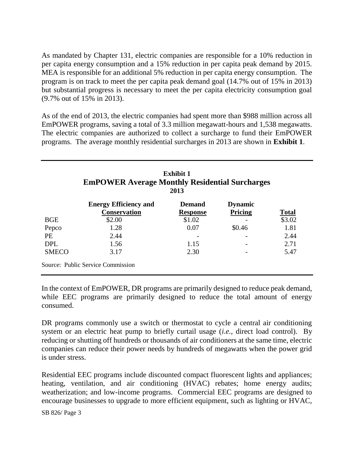As mandated by Chapter 131, electric companies are responsible for a 10% reduction in per capita energy consumption and a 15% reduction in per capita peak demand by 2015. MEA is responsible for an additional 5% reduction in per capita energy consumption. The program is on track to meet the per capita peak demand goal (14.7% out of 15% in 2013) but substantial progress is necessary to meet the per capita electricity consumption goal (9.7% out of 15% in 2013).

As of the end of 2013, the electric companies had spent more than \$988 million across all EmPOWER programs, saving a total of 3.3 million megawatt-hours and 1,538 megawatts. The electric companies are authorized to collect a surcharge to fund their EmPOWER programs. The average monthly residential surcharges in 2013 are shown in **Exhibit 1**.

| <b>Exhibit 1</b><br><b>EmPOWER Average Monthly Residential Surcharges</b><br>2013 |                                                     |                                  |                           |              |  |  |
|-----------------------------------------------------------------------------------|-----------------------------------------------------|----------------------------------|---------------------------|--------------|--|--|
|                                                                                   | <b>Energy Efficiency and</b><br><b>Conservation</b> | <b>Demand</b><br><b>Response</b> | <b>Dynamic</b><br>Pricing | <b>Total</b> |  |  |
| <b>BGE</b>                                                                        | \$2.00                                              | \$1.02                           |                           | \$3.02       |  |  |
| Pepco                                                                             | 1.28                                                | 0.07                             | \$0.46                    | 1.81         |  |  |
| <b>PE</b>                                                                         | 2.44                                                |                                  |                           | 2.44         |  |  |
| <b>DPL</b>                                                                        | 1.56                                                | 1.15                             |                           | 2.71         |  |  |
| <b>SMECO</b>                                                                      | 3.17                                                | 2.30                             |                           | 5.47         |  |  |

In the context of EmPOWER, DR programs are primarily designed to reduce peak demand, while EEC programs are primarily designed to reduce the total amount of energy consumed.

DR programs commonly use a switch or thermostat to cycle a central air conditioning system or an electric heat pump to briefly curtail usage (*i.e.*, direct load control). By reducing or shutting off hundreds or thousands of air conditioners at the same time, electric companies can reduce their power needs by hundreds of megawatts when the power grid is under stress.

Residential EEC programs include discounted compact fluorescent lights and appliances; heating, ventilation, and air conditioning (HVAC) rebates; home energy audits; weatherization; and low-income programs. Commercial EEC programs are designed to encourage businesses to upgrade to more efficient equipment, such as lighting or HVAC,

SB 826/ Page 3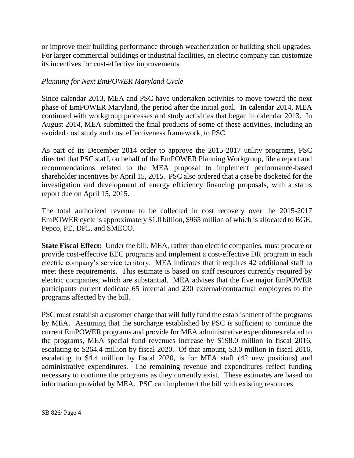or improve their building performance through weatherization or building shell upgrades. For larger commercial buildings or industrial facilities, an electric company can customize its incentives for cost-effective improvements.

#### *Planning for Next EmPOWER Maryland Cycle*

Since calendar 2013, MEA and PSC have undertaken activities to move toward the next phase of EmPOWER Maryland, the period after the initial goal. In calendar 2014, MEA continued with workgroup processes and study activities that began in calendar 2013. In August 2014, MEA submitted the final products of some of these activities, including an avoided cost study and cost effectiveness framework, to PSC.

As part of its December 2014 order to approve the 2015-2017 utility programs, PSC directed that PSC staff, on behalf of the EmPOWER Planning Workgroup, file a report and recommendations related to the MEA proposal to implement performance-based shareholder incentives by April 15, 2015. PSC also ordered that a case be docketed for the investigation and development of energy efficiency financing proposals, with a status report due on April 15, 2015.

The total authorized revenue to be collected in cost recovery over the 2015-2017 EmPOWER cycle is approximately \$1.0 billion, \$965 million of which is allocated to BGE, Pepco, PE, DPL, and SMECO.

**State Fiscal Effect:** Under the bill, MEA, rather than electric companies, must procure or provide cost-effective EEC programs and implement a cost-effective DR program in each electric company's service territory. MEA indicates that it requires 42 additional staff to meet these requirements. This estimate is based on staff resources currently required by electric companies, which are substantial. MEA advises that the five major EmPOWER participants current dedicate 65 internal and 230 external/contractual employees to the programs affected by the bill.

PSC must establish a customer charge that will fully fund the establishment of the programs by MEA. Assuming that the surcharge established by PSC is sufficient to continue the current EmPOWER programs and provide for MEA administrative expenditures related to the programs, MEA special fund revenues increase by \$198.0 million in fiscal 2016, escalating to \$264.4 million by fiscal 2020. Of that amount, \$3.0 million in fiscal 2016, escalating to \$4.4 million by fiscal 2020, is for MEA staff (42 new positions) and administrative expenditures. The remaining revenue and expenditures reflect funding necessary to continue the programs as they currently exist. These estimates are based on information provided by MEA. PSC can implement the bill with existing resources.